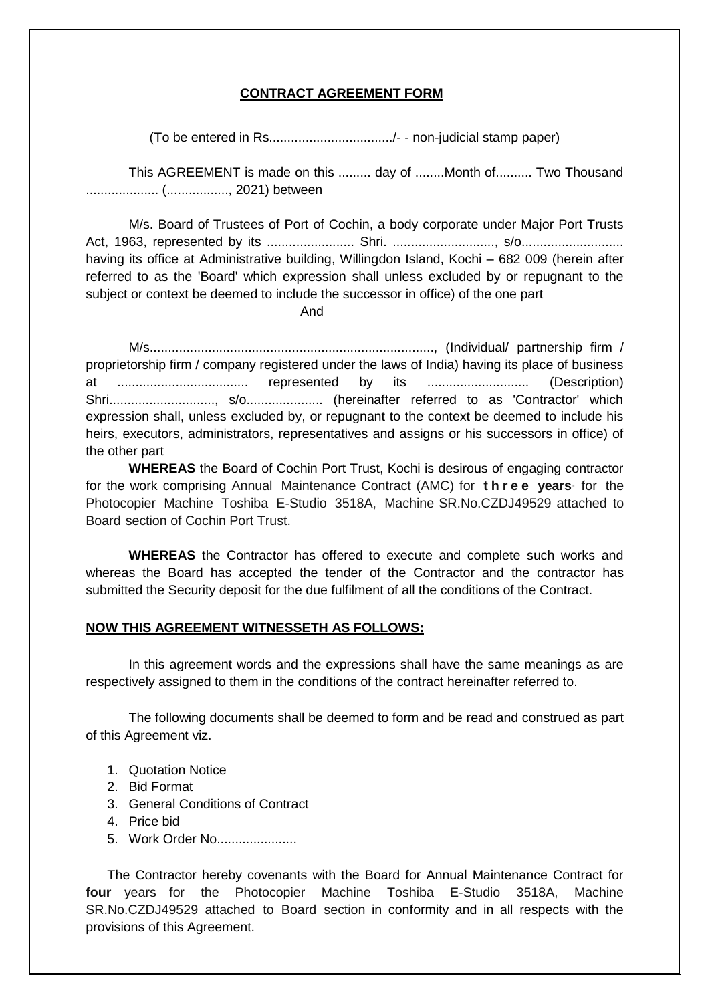## **CONTRACT AGREEMENT FORM**

(To be entered in Rs................................../- - non-judicial stamp paper)

This AGREEMENT is made on this ......... day of ........Month of.......... Two Thousand .................... (................., 2021) between

M/s. Board of Trustees of Port of Cochin, a body corporate under Major Port Trusts Act, 1963, represented by its ........................ Shri. ............................, s/o............................ having its office at Administrative building, Willingdon Island, Kochi – 682 009 (herein after referred to as the 'Board' which expression shall unless excluded by or repugnant to the subject or context be deemed to include the successor in office) of the one part

And

M/s.............................................................................., (Individual/ partnership firm / proprietorship firm / company registered under the laws of India) having its place of business at .................................... represented by its ............................ (Description) Shri............................., s/o..................... (hereinafter referred to as 'Contractor' which expression shall, unless excluded by, or repugnant to the context be deemed to include his heirs, executors, administrators, representatives and assigns or his successors in office) of the other part

**WHEREAS** the Board of Cochin Port Trust, Kochi is desirous of engaging contractor for the work comprising Annual Maintenance Contract (AMC) for **t h r e e years·** for the Photocopier Machine Toshiba E-Studio 3518A, Machine SR.No.CZDJ49529 attached to Board section of Cochin Port Trust.

**WHEREAS** the Contractor has offered to execute and complete such works and whereas the Board has accepted the tender of the Contractor and the contractor has submitted the Security deposit for the due fulfilment of all the conditions of the Contract.

## **NOW THIS AGREEMENT WITNESSETH AS FOLLOWS:**

In this agreement words and the expressions shall have the same meanings as are respectively assigned to them in the conditions of the contract hereinafter referred to.

The following documents shall be deemed to form and be read and construed as part of this Agreement viz.

- 1. Quotation Notice
- 2. Bid Format
- 3. General Conditions of Contract
- 4. Price bid
- 5. Work Order No......................

The Contractor hereby covenants with the Board for Annual Maintenance Contract for **four** years for the Photocopier Machine Toshiba E-Studio 3518A, Machine SR.No.CZDJ49529 attached to Board section in conformity and in all respects with the provisions of this Agreement.